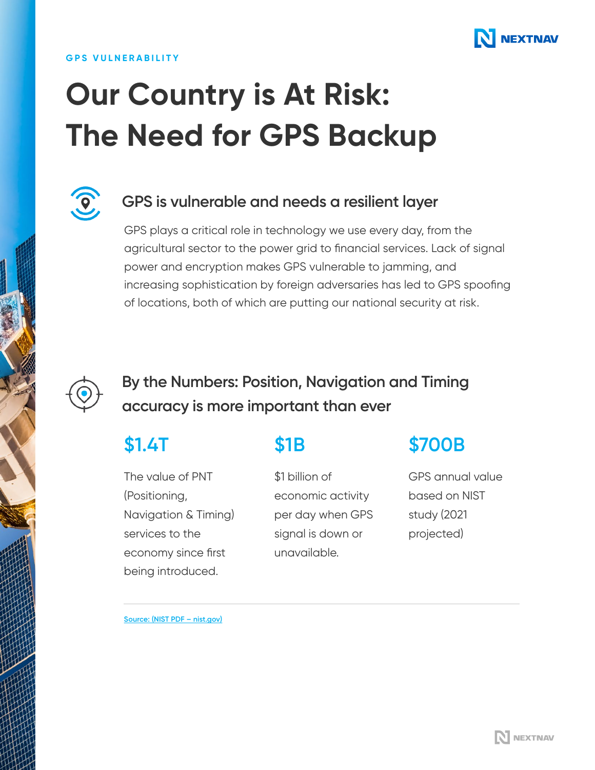

### **GPS VULNERABILITY**

# **Our Country is At Risk: The Need for GPS Backup**



### **GPS is vulnerable and needs a resilient layer**

GPS plays a critical role in technology we use every day, from the agricultural sector to the power grid to financial services. Lack of signal power and encryption makes GPS vulnerable to jamming, and increasing sophistication by foreign adversaries has led to GPS spoofing of locations, both of which are putting our national security at risk.



## **By the Numbers: Position, Navigation and Timing accuracy is more important than ever**

## **\$1.4T**

The value of PNT (Positioning, Navigation & Timing) services to the economy since first being introduced.

## **\$1B**

\$1 billion of economic activity per day when GPS signal is down or unavailable.

## **\$700B**

GPS annual value based on NIST study (2021 projected)

**[Source: \(NIST PDF – nist.gov\)](https://www.nist.gov/system/files/documents/2020/02/06/gps_finalreport618.pdf)**

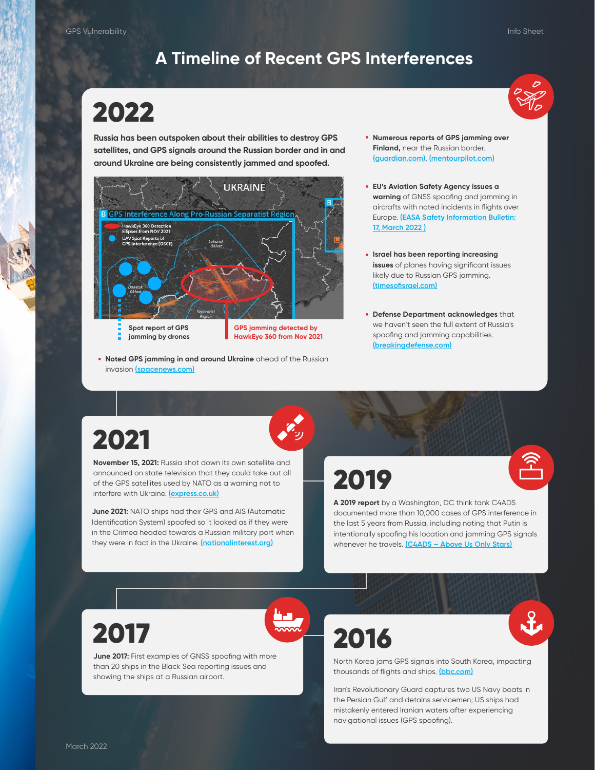### **A Timeline of Recent GPS Interferences**

## 2022

**Russia has been outspoken about their abilities to destroy GPS satellites, and GPS signals around the Russian border and in and around Ukraine are being consistently jammed and spoofed.** 



**Noted GPS jamming in and around Ukraine** ahead of the Russian • invasion **[\(spacenews.com\)](https://spacenews.com/hawkeye-360-gps-ukr/)**

- **Numerous reports of GPS jamming over Finland,** near the Russian border. **[\(guardian.com\)](https://www.theguardian.com/world/2022/mar/09/finland-gps-disturbances-aircrafts-russia?CMP=Share_iOSApp_Other)**, **[\(mentourpilot.com\)](https://mentourpilot.com/is-russian-gps-interference-affecting-finland/)**
- **EU's Aviation Safety Agency issues a warning** of GNSS spoofing and jamming in aircrafts with noted incidents in flights over Europe. **[\(EASA Safety Information Bulletin:](https://ad.easa.europa.eu/blob/EASA_SIB_2022_02.pdf/SIB_2022-02_1) 17, March 2022 )**
- **Israel has been reporting increasing issues** of planes having significant issues likely due to Russian GPS jamming. **[\(timesofisrael.com\)](https://www.timesofisrael.com/liveblog_entry/russian-signal-jammers-accused-again-of-interfering-with-flights-entering-israel/)**
- **Defense Department acknowledges** that we haven't seen the full extent of Russia's spoofing and jamming capabilities. **[\(breakingdefense.com\)](https://breakingdefense.com/2022/03/local-russian-gps-jamming-in-ukraine-hasnt-affected-us-support-ops-so-far/)**

## 2021

**November 15, 2021:** Russia shot down its own satellite and announced on state television that they could take out all of the GPS satellites used by NATO as a warning not to interfere with Ukraine. **[\(express.co.uk\)](https://www.express.co.uk/news/science/1526365/russia-warning-nato-ukraine-usa-anti-satellite-missile-asat-vladimir-putin)**

**June 2021:** NATO ships had their GPS and AIS (Automatic Identification System) spoofed so it looked as if they were in the Crimea headed towards a Russian military port when they were in fact in the Ukraine. **[\(nationalinterest.org\)](https://nationalinterest.org/blog/reboot/dozens-nato-warship-positions-near-russia-being-faked-why-190927)**

2019



**A 2019 report** by a Washington, DC think tank C4ADS documented more than 10,000 cases of GPS interference in the last 5 years from Russia, including noting that Putin is intentionally spoofing his location and jamming GPS signals whenever he travels. **[\(C4ADS – Above Us Only Stars\)](https://static1.squarespace.com/static/566ef8b4d8af107232d5358a/t/5c99488beb39314c45e782da/1553549492554/Above+Us+Only+Stars.pdf)**

## 2017

**June 2017:** First examples of GNSS spoofing with more than 20 ships in the Black Sea reporting issues and showing the ships at a Russian airport.

2016



North Korea jams GPS signals into South Korea, impacting thousands of flights and ships. **[\(bbc.com\)](https://www.bbc.com/news/world-asia-35940542)**

Iran's Revolutionary Guard captures two US Navy boats in the Persian Gulf and detains servicemen; US ships had mistakenly entered Iranian waters after experiencing navigational issues (GPS spoofing).